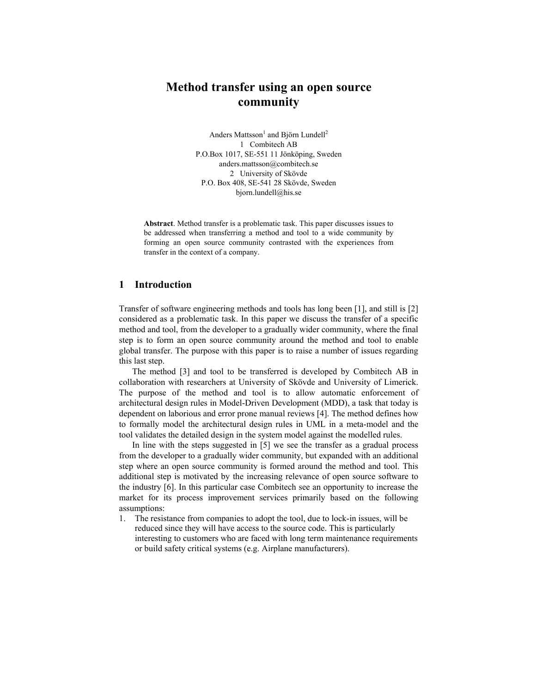# **Method transfer using an open source community**

Anders Mattsson<sup>1</sup> and Björn Lundell<sup>2</sup> 1 Combitech AB P.O.Box 1017, SE-551 11 Jönköping, Sweden anders.mattsson@combitech.se 2 University of Skövde P.O. Box 408, SE-541 28 Skövde, Sweden bjorn.lundell@his.se

**Abstract**. Method transfer is a problematic task. This paper discusses issues to be addressed when transferring a method and tool to a wide community by forming an open source community contrasted with the experiences from transfer in the context of a company.

# **1 Introduction**

Transfer of software engineering methods and tools has long been [1], and still is [2] considered as a problematic task. In this paper we discuss the transfer of a specific method and tool, from the developer to a gradually wider community, where the final step is to form an open source community around the method and tool to enable global transfer. The purpose with this paper is to raise a number of issues regarding this last step.

The method [3] and tool to be transferred is developed by Combitech AB in collaboration with researchers at University of Skövde and University of Limerick. The purpose of the method and tool is to allow automatic enforcement of architectural design rules in Model-Driven Development (MDD), a task that today is dependent on laborious and error prone manual reviews [4]. The method defines how to formally model the architectural design rules in UML in a meta-model and the tool validates the detailed design in the system model against the modelled rules.

In line with the steps suggested in [5] we see the transfer as a gradual process from the developer to a gradually wider community, but expanded with an additional step where an open source community is formed around the method and tool. This additional step is motivated by the increasing relevance of open source software to the industry [6]. In this particular case Combitech see an opportunity to increase the market for its process improvement services primarily based on the following assumptions:

1. The resistance from companies to adopt the tool, due to lock-in issues, will be reduced since they will have access to the source code. This is particularly interesting to customers who are faced with long term maintenance requirements or build safety critical systems (e.g. Airplane manufacturers).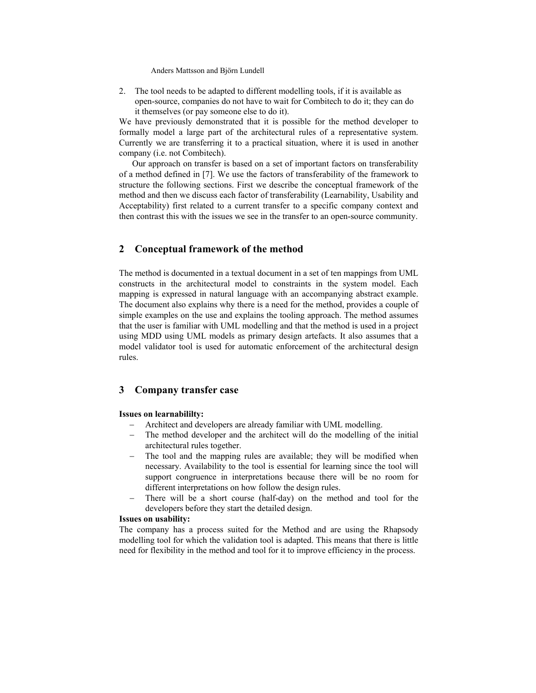Anders Mattsson and Björn Lundell

2. The tool needs to be adapted to different modelling tools, if it is available as open-source, companies do not have to wait for Combitech to do it; they can do it themselves (or pay someone else to do it).

We have previously demonstrated that it is possible for the method developer to formally model a large part of the architectural rules of a representative system. Currently we are transferring it to a practical situation, where it is used in another company (i.e. not Combitech).

Our approach on transfer is based on a set of important factors on transferability of a method defined in [7]. We use the factors of transferability of the framework to structure the following sections. First we describe the conceptual framework of the method and then we discuss each factor of transferability (Learnability, Usability and Acceptability) first related to a current transfer to a specific company context and then contrast this with the issues we see in the transfer to an open-source community.

# **2 Conceptual framework of the method**

The method is documented in a textual document in a set of ten mappings from UML constructs in the architectural model to constraints in the system model. Each mapping is expressed in natural language with an accompanying abstract example. The document also explains why there is a need for the method, provides a couple of simple examples on the use and explains the tooling approach. The method assumes that the user is familiar with UML modelling and that the method is used in a project using MDD using UML models as primary design artefacts. It also assumes that a model validator tool is used for automatic enforcement of the architectural design rules.

# **3 Company transfer case**

#### **Issues on learnabililty:**

- Architect and developers are already familiar with UML modelling.
- The method developer and the architect will do the modelling of the initial architectural rules together.
- The tool and the mapping rules are available; they will be modified when necessary. Availability to the tool is essential for learning since the tool will support congruence in interpretations because there will be no room for different interpretations on how follow the design rules.
- There will be a short course (half-day) on the method and tool for the developers before they start the detailed design.

# **Issues on usability:**

The company has a process suited for the Method and are using the Rhapsody modelling tool for which the validation tool is adapted. This means that there is little need for flexibility in the method and tool for it to improve efficiency in the process.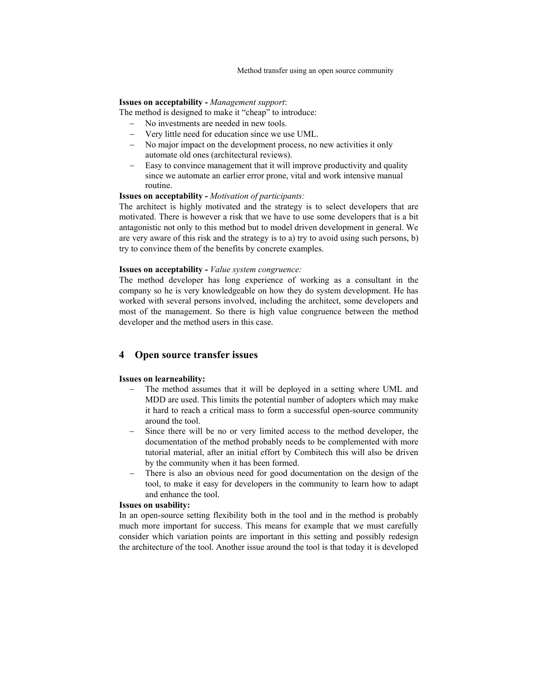#### **Issues on acceptability -** *Management support*:

The method is designed to make it "cheap" to introduce:

- − No investments are needed in new tools.
- − Very little need for education since we use UML.
- − No major impact on the development process, no new activities it only automate old ones (architectural reviews).
- Easy to convince management that it will improve productivity and quality since we automate an earlier error prone, vital and work intensive manual routine.

#### **Issues on acceptability -** *Motivation of participants:*

The architect is highly motivated and the strategy is to select developers that are motivated. There is however a risk that we have to use some developers that is a bit antagonistic not only to this method but to model driven development in general. We are very aware of this risk and the strategy is to a) try to avoid using such persons, b) try to convince them of the benefits by concrete examples.

#### **Issues on acceptability -** *Value system congruence:*

The method developer has long experience of working as a consultant in the company so he is very knowledgeable on how they do system development. He has worked with several persons involved, including the architect, some developers and most of the management. So there is high value congruence between the method developer and the method users in this case.

# **4 Open source transfer issues**

#### **Issues on learneability:**

- − The method assumes that it will be deployed in a setting where UML and MDD are used. This limits the potential number of adopters which may make it hard to reach a critical mass to form a successful open-source community around the tool.
- Since there will be no or very limited access to the method developer, the documentation of the method probably needs to be complemented with more tutorial material, after an initial effort by Combitech this will also be driven by the community when it has been formed.
- − There is also an obvious need for good documentation on the design of the tool, to make it easy for developers in the community to learn how to adapt and enhance the tool.

## **Issues on usability:**

In an open-source setting flexibility both in the tool and in the method is probably much more important for success. This means for example that we must carefully consider which variation points are important in this setting and possibly redesign the architecture of the tool. Another issue around the tool is that today it is developed